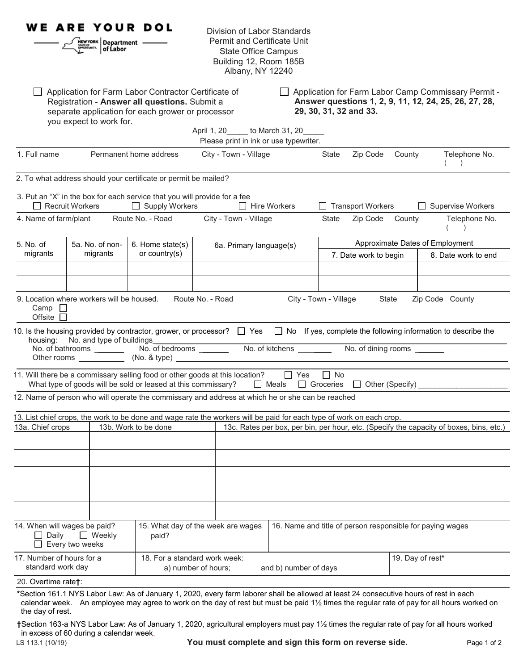|                                                                           | <b>WE ARE YOUR DOL</b><br>$\left \frac{\text{new} \text{vork}}{\text{new} \text{vink}}\right $ Department $\left \frac{\text{new} \text{vok}}{\text{o} \text{f} \text{Labor}}\right $ |                                                                                                                                                            | Division of Labor Standards<br><b>Permit and Certificate Unit</b><br><b>State Office Campus</b><br>Building 12, Room 185B<br>Albany, NY 12240 |                                                      |                                                           |                          |                  |                                                                                                                                           |
|---------------------------------------------------------------------------|---------------------------------------------------------------------------------------------------------------------------------------------------------------------------------------|------------------------------------------------------------------------------------------------------------------------------------------------------------|-----------------------------------------------------------------------------------------------------------------------------------------------|------------------------------------------------------|-----------------------------------------------------------|--------------------------|------------------|-------------------------------------------------------------------------------------------------------------------------------------------|
|                                                                           | you expect to work for.                                                                                                                                                               | Application for Farm Labor Contractor Certificate of<br>Registration - Answer all questions. Submit a<br>separate application for each grower or processor | April 1, 20 to March 31, 20                                                                                                                   |                                                      | 29, 30, 31, 32 and 33.                                    |                          |                  | Application for Farm Labor Camp Commissary Permit -<br>Answer questions 1, 2, 9, 11, 12, 24, 25, 26, 27, 28,                              |
|                                                                           |                                                                                                                                                                                       |                                                                                                                                                            | Please print in ink or use typewriter.                                                                                                        |                                                      |                                                           |                          |                  |                                                                                                                                           |
| 1. Full name                                                              |                                                                                                                                                                                       | Permanent home address                                                                                                                                     | City - Town - Village                                                                                                                         |                                                      | State                                                     | Zip Code County          |                  | Telephone No.<br>$\lambda$                                                                                                                |
|                                                                           |                                                                                                                                                                                       | 2. To what address should your certificate or permit be mailed?                                                                                            |                                                                                                                                               |                                                      |                                                           |                          |                  |                                                                                                                                           |
|                                                                           | $\Box$ Recruit Workers                                                                                                                                                                | 3. Put an "X" in the box for each service that you will provide for a fee<br>$\Box$ Supply Workers                                                         | $\Box$ Hire Workers                                                                                                                           |                                                      |                                                           | $\Box$ Transport Workers |                  | <b>Supervise Workers</b>                                                                                                                  |
|                                                                           | 4. Name of farm/plant Route No. - Road                                                                                                                                                |                                                                                                                                                            | City - Town - Village                                                                                                                         |                                                      | State                                                     | Zip Code County          |                  | Telephone No.<br>$\left( \begin{array}{c} \end{array} \right)$                                                                            |
| 5. No. of                                                                 | 5a. No. of non-                                                                                                                                                                       | 6. Home state(s)                                                                                                                                           | 6a. Primary language(s)                                                                                                                       |                                                      |                                                           |                          |                  | Approximate Dates of Employment                                                                                                           |
| migrants                                                                  | migrants                                                                                                                                                                              | or country $(s)$                                                                                                                                           |                                                                                                                                               |                                                      |                                                           | 7. Date work to begin    |                  | 8. Date work to end                                                                                                                       |
|                                                                           |                                                                                                                                                                                       |                                                                                                                                                            |                                                                                                                                               |                                                      |                                                           |                          |                  |                                                                                                                                           |
| Offsite $\Box$<br>housing:                                                | No. and type of buildings_                                                                                                                                                            |                                                                                                                                                            | 10. Is the housing provided by contractor, grower, or processor?<br>Tes  D No If yes, complete the following information to describe the      |                                                      |                                                           |                          |                  |                                                                                                                                           |
|                                                                           |                                                                                                                                                                                       | What type of goods will be sold or leased at this commissary?                                                                                              | 11. Will there be a commissary selling food or other goods at this location? $\Box$ Yes                                                       | $\Box$ Meals $\Box$ Groceries $\Box$ Other (Specify) | $\Box$ No                                                 |                          |                  |                                                                                                                                           |
|                                                                           |                                                                                                                                                                                       |                                                                                                                                                            | 12. Name of person who will operate the commissary and address at which he or she can be reached                                              |                                                      |                                                           |                          |                  |                                                                                                                                           |
| 13a. Chief crops                                                          |                                                                                                                                                                                       | 13b. Work to be done                                                                                                                                       | 13. List chief crops, the work to be done and wage rate the workers will be paid for each type of work on each crop.                          |                                                      |                                                           |                          |                  | 13c. Rates per box, per bin, per hour, etc. (Specify the capacity of boxes, bins, etc.)                                                   |
|                                                                           |                                                                                                                                                                                       |                                                                                                                                                            |                                                                                                                                               |                                                      |                                                           |                          |                  |                                                                                                                                           |
| 14. When will wages be paid?<br>Daily<br>$\Box$ Weekly<br>Every two weeks |                                                                                                                                                                                       | paid?                                                                                                                                                      | 15. What day of the week are wages                                                                                                            |                                                      | 16. Name and title of person responsible for paying wages |                          |                  |                                                                                                                                           |
| 17. Number of hours for a<br>standard work day                            |                                                                                                                                                                                       |                                                                                                                                                            | 18. For a standard work week:<br>a) number of hours;<br>and b) number of days                                                                 |                                                      |                                                           |                          | 19. Day of rest* |                                                                                                                                           |
| 20. Overtime rate†:                                                       |                                                                                                                                                                                       |                                                                                                                                                            |                                                                                                                                               |                                                      |                                                           |                          |                  |                                                                                                                                           |
| the day of rest.                                                          |                                                                                                                                                                                       |                                                                                                                                                            | *Section 161.1 NYS Labor Law: As of January 1, 2020, every farm laborer shall be allowed at least 24 consecutive hours of rest in each        |                                                      |                                                           |                          |                  | calendar week. An employee may agree to work on the day of rest but must be paid 1½ times the regular rate of pay for all hours worked on |

**†**Section 163-a NYS Labor Law: As of January 1, 2020, agricultural employers must pay 1½ times the regular rate of pay for all hours worked in excess of 60 during a calendar week.